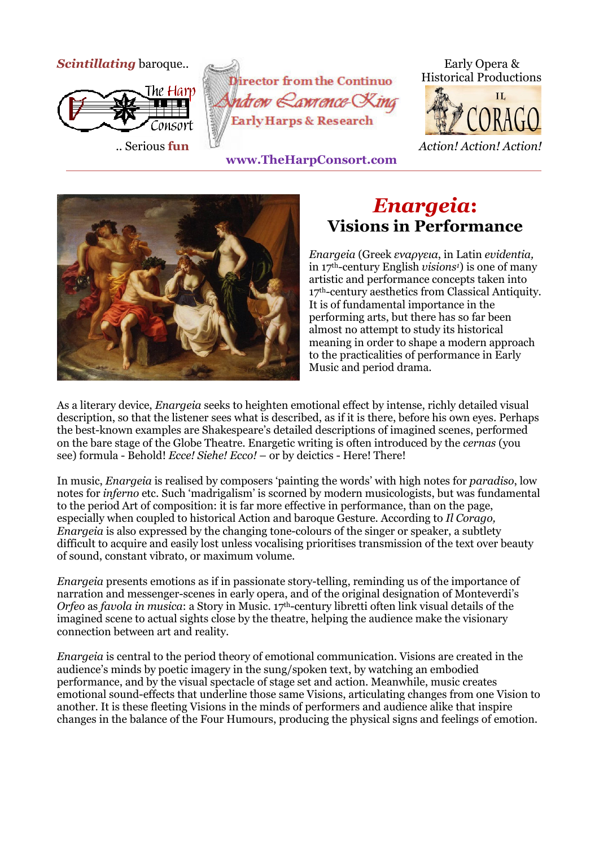



 **www.TheHarpConsort.com**







## *Enargeia***: Visions in Performance**

*Enargeia* (Greek *εναργεια*, in Latin *evidentia,*  in 17th-century English *visions1*) is one of many artistic and performance concepts taken into 17<sup>th</sup>-century aesthetics from Classical Antiquity. It is of fundamental importance in the performing arts, but there has so far been almost no attempt to study its historical meaning in order to shape a modern approach to the practicalities of performance in Early Music and period drama.

As a literary device, *Enargeia* seeks to heighten emotional effect by intense, richly detailed visual description, so that the listener sees what is described, as if it is there, before his own eyes. Perhaps the best-known examples are Shakespeare's detailed descriptions of imagined scenes, performed on the bare stage of the Globe Theatre. Enargetic writing is often introduced by the *cernas* (you see) formula - Behold! *Ecce! Siehe! Ecco!* – or by deictics - Here! There!

In music, *Enargeia* is realised by composers 'painting the words' with high notes for *paradiso*, low notes for *inferno* etc. Such 'madrigalism' is scorned by modern musicologists, but was fundamental to the period Art of composition: it is far more effective in performance, than on the page, especially when coupled to historical Action and baroque Gesture. According to *Il Corago, Enargeia* is also expressed by the changing tone-colours of the singer or speaker, a subtlety difficult to acquire and easily lost unless vocalising prioritises transmission of the text over beauty of sound, constant vibrato, or maximum volume.

*Enargeia* presents emotions as if in passionate story-telling, reminding us of the importance of narration and messenger-scenes in early opera, and of the original designation of Monteverdi's *Orfeo* as *favola in musica*: a Story in Music. 17th-century libretti often link visual details of the imagined scene to actual sights close by the theatre, helping the audience make the visionary connection between art and reality.

*Enargeia* is central to the period theory of emotional communication. Visions are created in the audience's minds by poetic imagery in the sung/spoken text, by watching an embodied performance, and by the visual spectacle of stage set and action. Meanwhile, music creates emotional sound-effects that underline those same Visions, articulating changes from one Vision to another. It is these fleeting Visions in the minds of performers and audience alike that inspire changes in the balance of the Four Humours, producing the physical signs and feelings of emotion.